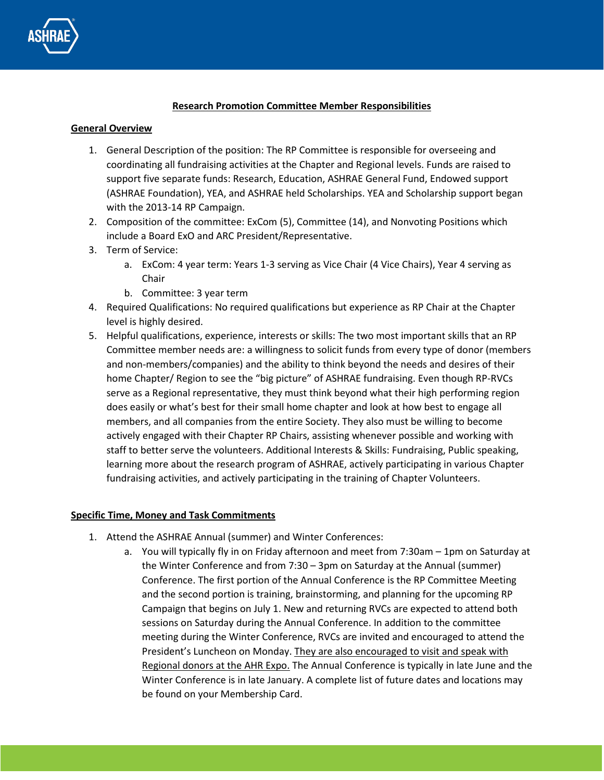

## **Research Promotion Committee Member Responsibilities**

## **General Overview**

- 1. General Description of the position: The RP Committee is responsible for overseeing and coordinating all fundraising activities at the Chapter and Regional levels. Funds are raised to support five separate funds: Research, Education, ASHRAE General Fund, Endowed support (ASHRAE Foundation), YEA, and ASHRAE held Scholarships. YEA and Scholarship support began with the 2013-14 RP Campaign.
- 2. Composition of the committee: ExCom (5), Committee (14), and Nonvoting Positions which include a Board ExO and ARC President/Representative.
- 3. Term of Service:
	- a. ExCom: 4 year term: Years 1-3 serving as Vice Chair (4 Vice Chairs), Year 4 serving as Chair
	- b. Committee: 3 year term
- 4. Required Qualifications: No required qualifications but experience as RP Chair at the Chapter level is highly desired.
- 5. Helpful qualifications, experience, interests or skills: The two most important skills that an RP Committee member needs are: a willingness to solicit funds from every type of donor (members and non-members/companies) and the ability to think beyond the needs and desires of their home Chapter/ Region to see the "big picture" of ASHRAE fundraising. Even though RP-RVCs serve as a Regional representative, they must think beyond what their high performing region does easily or what's best for their small home chapter and look at how best to engage all members, and all companies from the entire Society. They also must be willing to become actively engaged with their Chapter RP Chairs, assisting whenever possible and working with staff to better serve the volunteers. Additional Interests & Skills: Fundraising, Public speaking, learning more about the research program of ASHRAE, actively participating in various Chapter fundraising activities, and actively participating in the training of Chapter Volunteers.

## **Specific Time, Money and Task Commitments**

- 1. Attend the ASHRAE Annual (summer) and Winter Conferences:
	- a. You will typically fly in on Friday afternoon and meet from 7:30am 1pm on Saturday at the Winter Conference and from 7:30 – 3pm on Saturday at the Annual (summer) Conference. The first portion of the Annual Conference is the RP Committee Meeting and the second portion is training, brainstorming, and planning for the upcoming RP Campaign that begins on July 1. New and returning RVCs are expected to attend both sessions on Saturday during the Annual Conference. In addition to the committee meeting during the Winter Conference, RVCs are invited and encouraged to attend the President's Luncheon on Monday. They are also encouraged to visit and speak with Regional donors at the AHR Expo. The Annual Conference is typically in late June and the Winter Conference is in late January. A complete list of future dates and locations may be found on your Membership Card.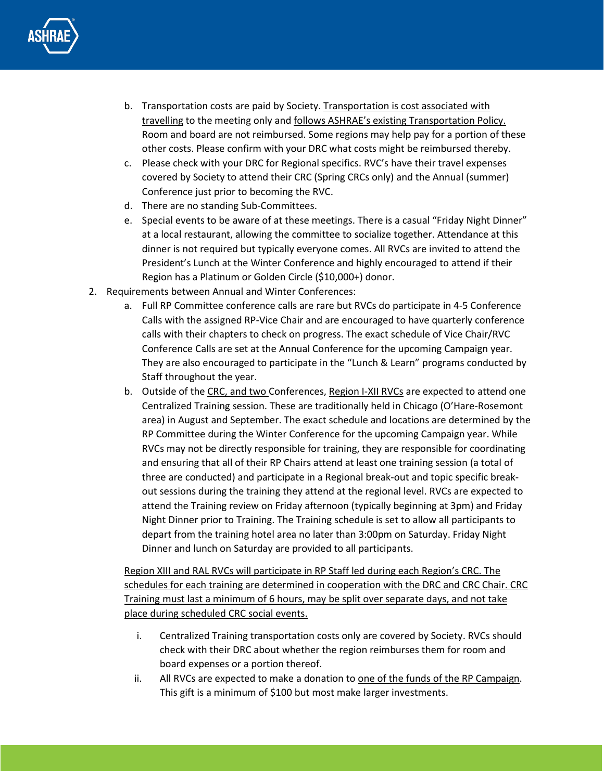

- b. Transportation costs are paid by Society. Transportation is cost associated with travelling to the meeting only and follows ASHRAE's existing Transportation Policy. Room and board are not reimbursed. Some regions may help pay for a portion of these other costs. Please confirm with your DRC what costs might be reimbursed thereby.
- c. Please check with your DRC for Regional specifics. RVC's have their travel expenses covered by Society to attend their CRC (Spring CRCs only) and the Annual (summer) Conference just prior to becoming the RVC.
- d. There are no standing Sub-Committees.
- e. Special events to be aware of at these meetings. There is a casual "Friday Night Dinner" at a local restaurant, allowing the committee to socialize together. Attendance at this dinner is not required but typically everyone comes. All RVCs are invited to attend the President's Lunch at the Winter Conference and highly encouraged to attend if their Region has a Platinum or Golden Circle (\$10,000+) donor.
- 2. Requirements between Annual and Winter Conferences:
	- a. Full RP Committee conference calls are rare but RVCs do participate in 4-5 Conference Calls with the assigned RP-Vice Chair and are encouraged to have quarterly conference calls with their chapters to check on progress. The exact schedule of Vice Chair/RVC Conference Calls are set at the Annual Conference for the upcoming Campaign year. They are also encouraged to participate in the "Lunch & Learn" programs conducted by Staff throughout the year.
	- b. Outside of the CRC, and two Conferences, Region I-XII RVCs are expected to attend one Centralized Training session. These are traditionally held in Chicago (O'Hare-Rosemont area) in August and September. The exact schedule and locations are determined by the RP Committee during the Winter Conference for the upcoming Campaign year. While RVCs may not be directly responsible for training, they are responsible for coordinating and ensuring that all of their RP Chairs attend at least one training session (a total of three are conducted) and participate in a Regional break-out and topic specific breakout sessions during the training they attend at the regional level. RVCs are expected to attend the Training review on Friday afternoon (typically beginning at 3pm) and Friday Night Dinner prior to Training. The Training schedule is set to allow all participants to depart from the training hotel area no later than 3:00pm on Saturday. Friday Night Dinner and lunch on Saturday are provided to all participants.

Region XIII and RAL RVCs will participate in RP Staff led during each Region's CRC. The schedules for each training are determined in cooperation with the DRC and CRC Chair. CRC Training must last a minimum of 6 hours, may be split over separate days, and not take place during scheduled CRC social events.

- i. Centralized Training transportation costs only are covered by Society. RVCs should check with their DRC about whether the region reimburses them for room and board expenses or a portion thereof.
- ii. All RVCs are expected to make a donation to one of the funds of the RP Campaign. This gift is a minimum of \$100 but most make larger investments.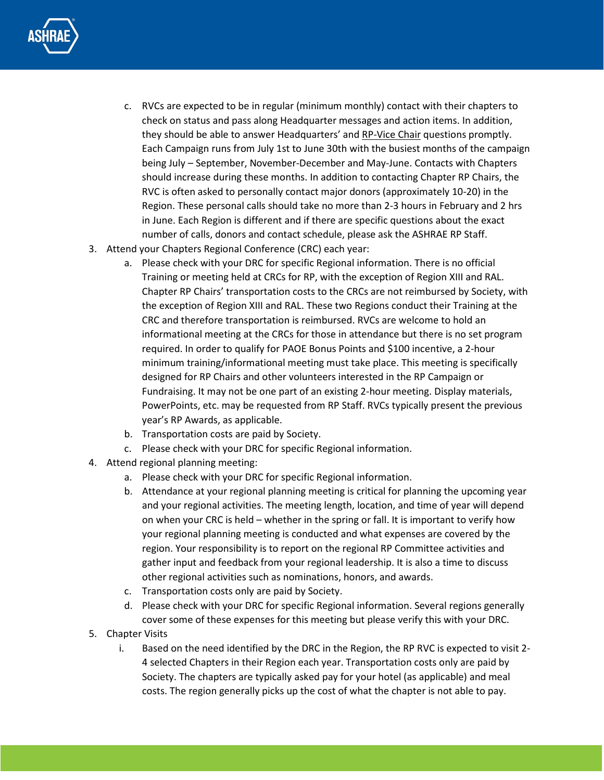

- c. RVCs are expected to be in regular (minimum monthly) contact with their chapters to check on status and pass along Headquarter messages and action items. In addition, they should be able to answer Headquarters' and RP-Vice Chair questions promptly. Each Campaign runs from July 1st to June 30th with the busiest months of the campaign being July – September, November-December and May-June. Contacts with Chapters should increase during these months. In addition to contacting Chapter RP Chairs, the RVC is often asked to personally contact major donors (approximately 10-20) in the Region. These personal calls should take no more than 2-3 hours in February and 2 hrs in June. Each Region is different and if there are specific questions about the exact number of calls, donors and contact schedule, please ask the ASHRAE RP Staff.
- 3. Attend your Chapters Regional Conference (CRC) each year:
	- a. Please check with your DRC for specific Regional information. There is no official Training or meeting held at CRCs for RP, with the exception of Region XIII and RAL. Chapter RP Chairs' transportation costs to the CRCs are not reimbursed by Society, with the exception of Region XIII and RAL. These two Regions conduct their Training at the CRC and therefore transportation is reimbursed. RVCs are welcome to hold an informational meeting at the CRCs for those in attendance but there is no set program required. In order to qualify for PAOE Bonus Points and \$100 incentive, a 2-hour minimum training/informational meeting must take place. This meeting is specifically designed for RP Chairs and other volunteers interested in the RP Campaign or Fundraising. It may not be one part of an existing 2-hour meeting. Display materials, PowerPoints, etc. may be requested from RP Staff. RVCs typically present the previous year's RP Awards, as applicable.
	- b. Transportation costs are paid by Society.
	- c. Please check with your DRC for specific Regional information.
- 4. Attend regional planning meeting:
	- a. Please check with your DRC for specific Regional information.
	- b. Attendance at your regional planning meeting is critical for planning the upcoming year and your regional activities. The meeting length, location, and time of year will depend on when your CRC is held – whether in the spring or fall. It is important to verify how your regional planning meeting is conducted and what expenses are covered by the region. Your responsibility is to report on the regional RP Committee activities and gather input and feedback from your regional leadership. It is also a time to discuss other regional activities such as nominations, honors, and awards.
	- c. Transportation costs only are paid by Society.
	- d. Please check with your DRC for specific Regional information. Several regions generally cover some of these expenses for this meeting but please verify this with your DRC.
- 5. Chapter Visits
	- i. Based on the need identified by the DRC in the Region, the RP RVC is expected to visit 2- 4 selected Chapters in their Region each year. Transportation costs only are paid by Society. The chapters are typically asked pay for your hotel (as applicable) and meal costs. The region generally picks up the cost of what the chapter is not able to pay.